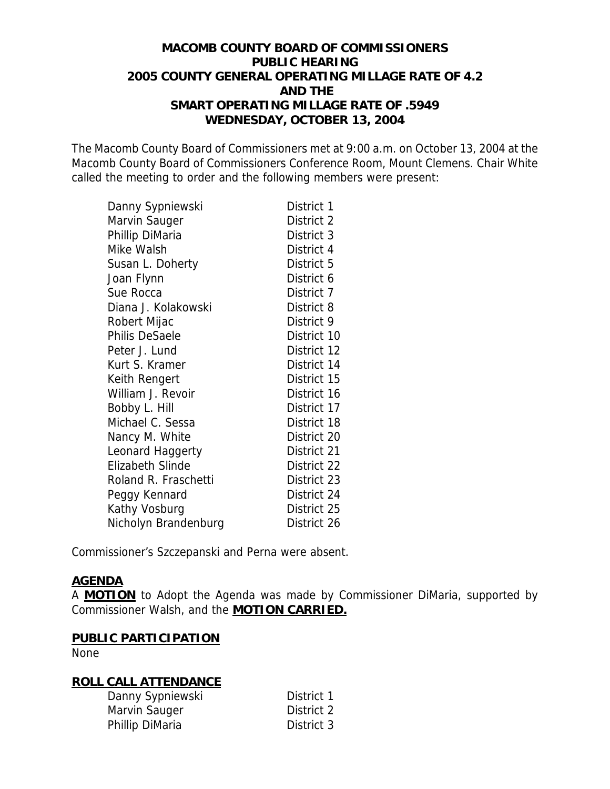## **MACOMB COUNTY BOARD OF COMMISSIONERS PUBLIC HEARING 2005 COUNTY GENERAL OPERATING MILLAGE RATE OF 4.2 AND THE SMART OPERATING MILLAGE RATE OF .5949 WEDNESDAY, OCTOBER 13, 2004**

The Macomb County Board of Commissioners met at 9:00 a.m. on October 13, 2004 at the Macomb County Board of Commissioners Conference Room, Mount Clemens. Chair White called the meeting to order and the following members were present:

| Danny Sypniewski        | District 1  |
|-------------------------|-------------|
| Marvin Sauger           | District 2  |
| Phillip DiMaria         | District 3  |
| Mike Walsh              | District 4  |
| Susan L. Doherty        | District 5  |
| Joan Flynn              | District 6  |
| Sue Rocca               | District 7  |
| Diana J. Kolakowski     | District 8  |
| Robert Mijac            | District 9  |
| <b>Philis DeSaele</b>   | District 10 |
| Peter J. Lund           | District 12 |
| Kurt S. Kramer          | District 14 |
| Keith Rengert           | District 15 |
| William J. Revoir       | District 16 |
| Bobby L. Hill           | District 17 |
| Michael C. Sessa        | District 18 |
| Nancy M. White          | District 20 |
| Leonard Haggerty        | District 21 |
| <b>Elizabeth Slinde</b> | District 22 |
| Roland R. Fraschetti    | District 23 |
| Peggy Kennard           | District 24 |
| Kathy Vosburg           | District 25 |
| Nicholyn Brandenburg    | District 26 |

Commissioner's Szczepanski and Perna were absent.

### **AGENDA**

A **MOTION** to Adopt the Agenda was made by Commissioner DiMaria, supported by Commissioner Walsh, and the **MOTION CARRIED.**

### **PUBLIC PARTICIPATION**

None

### **ROLL CALL ATTENDANCE**

| Danny Sypniewski | District 1 |
|------------------|------------|
| Marvin Sauger    | District 2 |
| Phillip DiMaria  | District 3 |